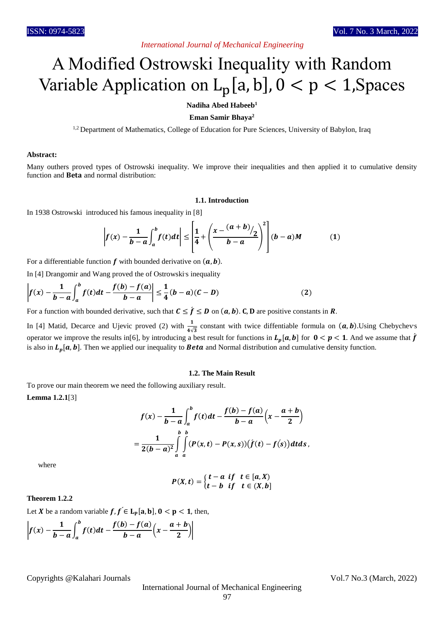# *International Journal of Mechanical Engineering*

# A Modified Ostrowski Inequality with Random Variable Application on  $L_p[a, b]$ ,  $0 < p < 1$ , Spaces

**Nadiha Abed Habeeb<sup>1</sup>**

## **Eman Samir Bhaya<sup>2</sup>**

<sup>1,2</sup> Department of Mathematics, College of Education for Pure Sciences, University of Babylon, Iraq

#### **Abstract:**

Many outhers proved types of Ostrowski inequality. We improve their inequalities and then applied it to cumulative density function and Beta and normal distribution:

#### **1.1. Introduction**

In 1938 Ostrowski introduced his famous inequality in [8]

$$
\left| f(x) - \frac{1}{b-a} \int_a^b f(t) dt \right| \leq \left[ \frac{1}{4} + \left( \frac{x - (a+b)}{b-a} \right)^2 \right] (b-a)M \tag{1}
$$

For a differentiable function  $f$  with bounded derivative on  $(a, b)$ .

In [4] Drangomir and Wang proved the of Ostrowski s inequality

$$
\left| f(x) - \frac{1}{b-a} \int_{a}^{b} f(t)dt - \frac{f(b) - f(a)}{b-a} \right| \leq \frac{1}{4} (b-a)(C-D)
$$
 (2)

For a function with bounded derivative, such that  $C \leq \hat{f} \leq D$  on  $(a, b)$ . C, D are positive constants in R.

In [4] Matid, Decarce and Ujevic proved (2) with  $\frac{1}{4\sqrt{3}}$  constant with twice diffentiable formula on  $(a, b)$ . Using Chebychevs operator we improve the results in[6], by introducing a best result for functions in  $L_p[a, b]$  for  $0 < p < 1$ . And we assume that  $\hat{f}$ is also in  $L_p[a, b]$ . Then we applied our inequality to **Beta** and Normal distribution and cumulative density function.

## **1.2. The Main Result**

To prove our main theorem we need the following auxiliary result.

**Lemma 1.2.1**[3]

$$
f(x) - \frac{1}{b-a} \int_{a}^{b} f(t) dt - \frac{f(b) - f(a)}{b-a} \left(x - \frac{a+b}{2}\right)
$$
  
= 
$$
\frac{1}{2(b-a)^2} \int_{a}^{b} \int_{a}^{b} (P(x,t) - P(x,s)) \left(f(t) - f(s)\right) dt ds,
$$

where

 $P(X,t) = \begin{cases} t-a & \text{if} \quad t \in [a,X) \\ t-b & \text{if} \quad t \in (X,b) \end{cases}$  $t-b$  if  $t \in (X,b]$ 

## **Theorem 1.2.2**

Let X be a random variable  $f, f \in L_{p}[a, b], 0 < p < 1$ , then,

$$
\left|f(x)-\frac{1}{b-a}\int_a^b f(t)dt-\frac{f(b)-f(a)}{b-a}\left(x-\frac{a+b}{2}\right)\right|
$$

Copyrights @Kalahari Journals Vol.7 No.3 (March, 2022)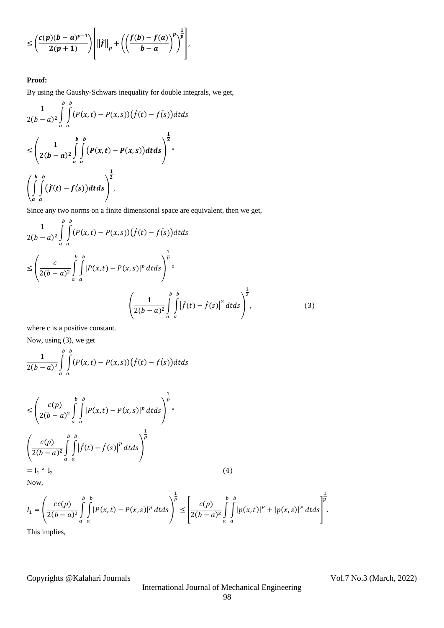$$
\leq \left(\frac{c(p)(b-a)^{p-1}}{2(p+1)}\right)\left[\left\|f\right\|_{p}+\left(\left(\frac{f(b)-f(a)}{b-a}\right)^{p}\right)^{\frac{1}{p}}\right],
$$

# **Proof:**

By using the Gaushy-Schwars inequality for double integrals, we get,

$$
\frac{1}{2(b-a)^2} \int\limits_{a}^{b} \int\limits_{a}^{b} (P(x,t) - P(x,s))(f(t) - f(s))dtds
$$
\n
$$
\leq \left(\frac{1}{2(b-a)^2} \int\limits_{a}^{b} \int\limits_{a}^{b} (P(x,t) - P(x,s))dtds\right)^{\frac{1}{2}}
$$
\n
$$
\left(\int\limits_{a}^{b} \int\limits_{a}^{b} (f(t) - f(s))dtds\right)^{\frac{1}{2}},
$$

Since any two norms on a finite dimensional space are equivalent, then we get,

$$
\frac{1}{2(b-a)^{2}} \int_{a}^{b} \int_{a}^{b} (P(x,t) - P(x,s)) (\dot{f}(t) - f(s)) dt ds
$$
\n
$$
\leq \left( \frac{c}{2(b-a)^{2}} \int_{a}^{b} \int_{a}^{b} |P(x,t) - P(x,s)|^{p} dt ds \right)^{\frac{1}{p}} \circ
$$
\n
$$
\left( \frac{1}{2(b-a)^{2}} \int_{a}^{b} \int_{a}^{b} |\dot{f}(t) - \dot{f}(s)|^{2} dt ds \right)^{\frac{1}{2}},
$$
\n(3)

where c is a positive constant.

Now, using (3), we get

$$
\frac{1}{2(b-a)^2}\int\limits_a^b\int\limits_a^b(P(x,t)-P(x,s))(\dot{f}(t)-f(s))dtds
$$

$$
\leq \left(\frac{c(p)}{2(b-a)^2} \int_{a}^{b} \int_{a}^{b} |P(x,t) - P(x,s)|^p dt ds\right)^{\frac{1}{p}} \circ
$$
  

$$
\left(\frac{c(p)}{2(b-a)^2} \int_{a}^{b} \int_{a}^{b} |f(t) - f(s)|^p dt ds\right)^{\frac{1}{p}}
$$
  
= I<sub>1</sub>° I<sub>2</sub> (4)

$$
(\mathbf{4})
$$

Now,

$$
I_1 = \left(\frac{cc(p)}{2(b-a)^2} \int\limits_a^b \int\limits_a^b |P(x,t) - P(x,s)|^p \, dt \, ds\right)^{\frac{1}{p}} \leq \left[\frac{c(p)}{2(b-a)^2} \int\limits_a^b \int\limits_a^b |p(x,t)|^p + |p(x,s)|^p \, dt \, ds\right]^{\frac{1}{p}}.
$$

This implies,

Copyrights @Kalahari Journals Vol.7 No.3 (March, 2022)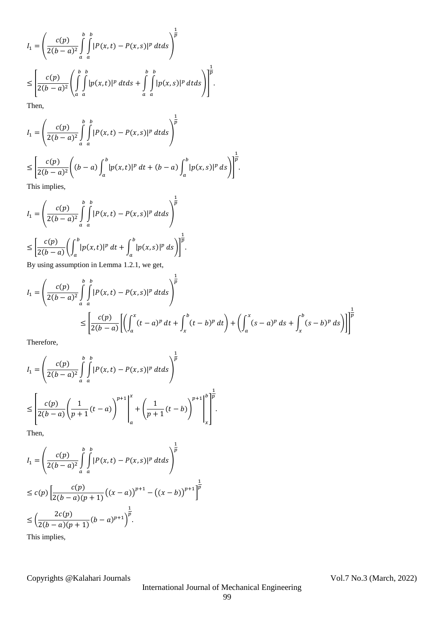$$
I_1 = \left(\frac{c(p)}{2(b-a)^2} \int\limits_a^b \int\limits_a^b |P(x,t) - P(x,s)|^p dt ds\right)^{\frac{1}{p}}
$$
  
\n
$$
\leq \left[\frac{c(p)}{2(b-a)^2} \left(\int\limits_a^b \int\limits_a^b |p(x,t)|^p dt ds + \int\limits_a^b \int\limits_a^b |p(x,s)|^p dt ds\right)\right]^{\frac{1}{p}}.
$$
  
\nThen,

$$
I_{1} = \left(\frac{c(p)}{2(b-a)^{2}} \int_{a}^{b} \int_{a}^{b} |P(x,t) - P(x,s)|^{p} dt ds\right)^{\frac{1}{p}}
$$
  
\n
$$
\leq \left[\frac{c(p)}{2(b-a)^{2}} \left((b-a)\int_{a}^{b} |p(x,t)|^{p} dt + (b-a)\int_{a}^{b} |p(x,s)|^{p} ds\right)\right]^{\frac{1}{p}}.
$$
  
\nThis implies

This implies,

$$
I_1 = \left(\frac{c(p)}{2(b-a)^2} \int_a^b \int_a^b |P(x,t) - P(x,s)|^p dt ds\right)^{\frac{1}{p}}
$$
  

$$
\leq \left[\frac{c(p)}{2(b-a)} \left(\int_a^b |p(x,t)|^p dt + \int_a^b |p(x,s)|^p ds\right)\right]^{\frac{1}{p}}.
$$

By using assumption in Lemma 1.2.1, we get,

$$
I_{1} = \left(\frac{c(p)}{2(b-a)^{2}} \int_{a}^{b} \int_{a}^{b} |P(x,t) - P(x,s)|^{p} dt ds\right)^{\frac{1}{p}}
$$
  

$$
\leq \left[\frac{c(p)}{2(b-a)} \left[ \left( \int_{a}^{x} (t-a)^{p} dt + \int_{x}^{b} (t-b)^{p} dt \right) + \left( \int_{a}^{x} (s-a)^{p} ds + \int_{x}^{b} (s-b)^{p} ds \right) \right] \right]^{\frac{1}{p}}
$$

 $\frac{1}{p}$ 

Therefore,

$$
I_1 = \left(\frac{c(p)}{2(b-a)^2} \int_a^b \int_a^b |P(x,t) - P(x,s)|^p dt ds\right)^{\frac{1}{p}}
$$
  
\n
$$
\leq \left[\frac{c(p)}{2(b-a)} \left(\frac{1}{p+1}(t-a)\right)^{p+1}\right]_a^x + \left(\frac{1}{p+1}(t-b)\right)^{p+1} \Big|_x^b \Big]_a^{\frac{1}{p}}.
$$
  
\nThen,

$$
I_1 = \left(\frac{c(p)}{2(b-a)^2} \int_a^b \int_a^b |P(x,t) - P(x,s)|^p dt ds\right)^{\frac{1}{p}}
$$
  
\n
$$
\leq c(p) \left[\frac{c(p)}{2(b-a)(p+1)} \left((x-a)\right)^{p+1} - \left((x-b)\right)^{p+1}\right]
$$
  
\n
$$
\leq \left(\frac{2c(p)}{2(b-a)(p+1)} (b-a)^{p+1}\right)^{\frac{1}{p}}.
$$
  
\nThis implies,

Copyrights @Kalahari Journals Vol.7 No.3 (March, 2022)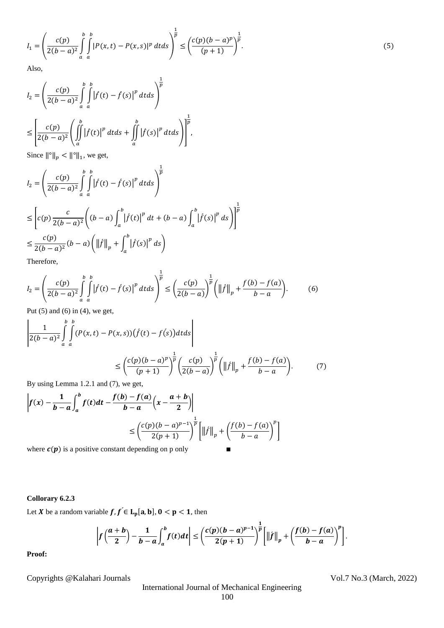$$
I_1 = \left(\frac{c(p)}{2(b-a)^2} \int\limits_a^b \int\limits_a^b |P(x,t) - P(x,s)|^p \, dt \, ds\right)^{\frac{1}{p}} \le \left(\frac{c(p)(b-a)^p}{(p+1)}\right)^{\frac{1}{p}}.\tag{5}
$$

Also,

$$
I_2 = \left(\frac{c(p)}{2(b-a)^2} \int_a^b \int_a^b |f(t) - f(s)|^p dt ds\right)^{\frac{1}{p}}
$$
  

$$
\leq \left[\frac{c(p)}{2(b-a)^2} \left(\int_a^b |f(t)|^p dt ds + \int_a^b |f(s)|^p dt ds\right)\right]^{\frac{1}{p}},
$$

Since  $\|\hat{\theta}\|_p < \|\hat{\theta}\|_1$ , we get,

$$
I_{2} = \left(\frac{c(p)}{2(b-a)^{2}} \int_{a}^{b} \int_{a}^{b} |f(t) - f(s)|^{p} dt ds\right)^{\frac{1}{p}}
$$
  
\n
$$
\leq \left[c(p)\frac{c}{2(b-a)^{2}} \left((b-a)\int_{a}^{b} |f(t)|^{p} dt + (b-a)\int_{a}^{b} |f(s)|^{p} ds\right)\right]^{\frac{1}{p}}
$$
  
\n
$$
\leq \frac{c(p)}{2(b-a)^{2}} (b-a) \left(\|f\|_{p} + \int_{a}^{b} |f(s)|^{p} ds\right)
$$
  
\nTherefore.

erefore,

$$
I_2 = \left(\frac{c(p)}{2(b-a)^2} \int_a^b \int_a^b |f(t) - \hat{f}(s)|^p dt ds\right)^{\frac{1}{p}} \le \left(\frac{c(p)}{2(b-a)}\right)^{\frac{1}{p}} \left(\|f\|_p + \frac{f(b) - f(a)}{b-a}\right).
$$
 (6)

Put  $(5)$  and  $(6)$  in  $(4)$ , we get,

$$
\left| \frac{1}{2(b-a)^2} \int_{a}^{b} \int_{a}^{b} (P(x,t) - P(x,s)) (\dot{f}(t) - f(s)) dt ds \right|
$$
  

$$
\leq \left( \frac{c(p)(b-a)^p}{(p+1)} \right)^{\frac{1}{p}} \left( \frac{c(p)}{2(b-a)} \right)^{\frac{1}{p}} \left( ||f||_p + \frac{f(b) - f(a)}{b-a} \right).
$$
 (7)

By using Lemma 1.2.1 and (7), we get,

$$
\left| f(x) - \frac{1}{b-a} \int_a^b f(t)dt - \frac{f(b) - f(a)}{b-a} \left( x - \frac{a+b}{2} \right) \right|
$$
  

$$
\leq \left( \frac{c(p)(b-a)^{p-1}}{2(p+1)} \right)^{\frac{1}{p}} \left[ \left\| f \right\|_p + \left( \frac{f(b) - f(a)}{b-a} \right)^p \right]
$$
  
where  $c(n)$  is a positive constant denoteding on a only.

where  $c(p)$  is a positive constant depending on p only ■

# **Collorary 6.2.3**

Let X be a random variable  $f, f \in L_p[a, b], 0 < p < 1$ , then

$$
\left|f\left(\frac{a+b}{2}\right)-\frac{1}{b-a}\int_a^b f(t)dt\right|\leq \left(\frac{c(p)(b-a)^{p-1}}{2(p+1)}\right)^{\frac{1}{p}}\left[\left\|f\right\|_p+\left(\frac{f(b)-f(a)}{b-a}\right)^p\right].
$$

**Proof:**

Copyrights @Kalahari Journals Vol.7 No.3 (March, 2022)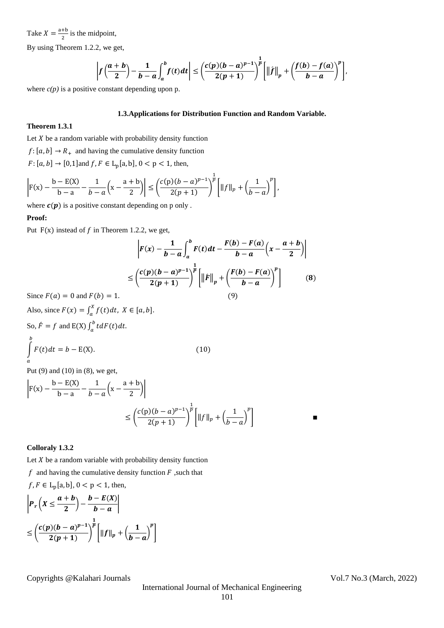Take  $X = \frac{a+b}{2}$  $\frac{10}{2}$  is the midpoint,

By using Theorem 1.2.2, we get,

$$
\left|f\left(\frac{a+b}{2}\right)-\frac{1}{b-a}\int_a^b f(t)dt\right|\leq \left(\frac{c(p)(b-a)^{p-1}}{2(p+1)}\right)^{\frac{1}{p}}\left[\left\|f\right\|_p+\left(\frac{f(b)-f(a)}{b-a}\right)^p\right],
$$

where  $c(p)$  is a positive constant depending upon p.

## **1.3.Applications for Distribution Function and Random Variable.**

# **Theorem 1.3.1**

Let  $X$  be a random variable with probability density function

 $f: [a, b] \rightarrow R_{+}$  and having the cumulative density function

 $F: [a, b] \to [0, 1]$  and  $f, F \in L_p[a, b], 0 < p < 1$ , then,

$$
\left| F(x) - \frac{b - E(X)}{b - a} - \frac{1}{b - a} \left( x - \frac{a + b}{2} \right) \right| \leq \left( \frac{c(p)(b - a)^{p - 1}}{2(p + 1)} \right)^{\frac{1}{p}} \left[ \|f\|_{p} + \left( \frac{1}{b - a} \right)^{p} \right],
$$

where  $c(p)$  is a positive constant depending on p only .

## **Proof:**

Put  $F(x)$  instead of f in Theorem 1.2.2, we get,

$$
\left| F(x) - \frac{1}{b-a} \int_a^b F(t)dt - \frac{F(b) - F(a)}{b-a} \left( x - \frac{a+b}{2} \right) \right|
$$
  

$$
\leq \left( \frac{c(p)(b-a)^{p-1}}{2(p+1)} \right)^{\frac{1}{p}} \left[ \left\| f \right\|_p + \left( \frac{F(b) - F(a)}{b-a} \right)^p \right]
$$
 (8)  

$$
F(b) = 1.
$$

(10)

Since  $F(a) = 0$  and F

Also, since  $F(x) = \int_a^x f(t) dt$ ,  $X \in [a, b]$  $\int_a^b f(t)dt$ ,  $X \in [a, b]$ . So,  $\hat{F} = f$  and E(X)  $\int_a^b t dF(t) dt$ .  $\boldsymbol{a}$  $\int F(t) dt = b - E(X).$ b  $\boldsymbol{a}$ 

Put (9) and (10) in (8), we get,

$$
\left| F(x) - \frac{b - E(X)}{b - a} - \frac{1}{b - a} \left( x - \frac{a + b}{2} \right) \right|
$$
  

$$
\leq \left( \frac{c(p)(b - a)^{p-1}}{2(p+1)} \right)^{\frac{1}{p}} \left[ ||f||_p + \left( \frac{1}{b - a} \right)^p \right]
$$

## **Colloraly 1.3.2**

Let  $X$  be a random variable with probability density function

 $f$  and having the cumulative density function  $F$ , such that

 $f, F \in L_p[a, b], 0 < p < 1$ , then,

$$
\left| P_r\left(X \leq \frac{a+b}{2}\right) - \frac{b - E(X)}{b-a} \right|
$$
  

$$
\leq \left( \frac{c(p)(b-a)^{p-1}}{2(p+1)} \right)^{\frac{1}{p}} \left[ ||f||_p + \left( \frac{1}{b-a} \right)^p \right]
$$

Copyrights @Kalahari Journals Vol.7 No.3 (March, 2022)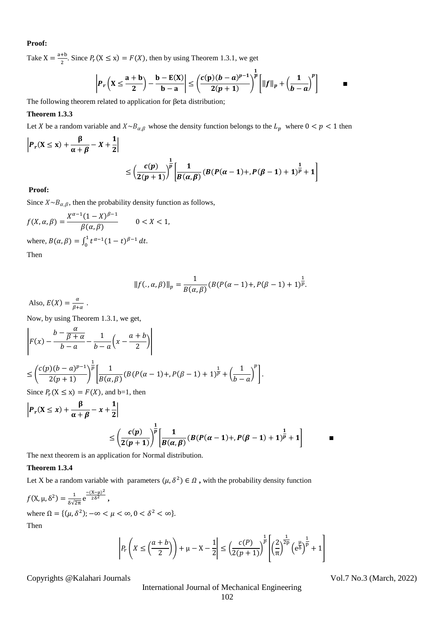### **Proof:**

Take  $X = \frac{a+b}{a}$  $\frac{10}{2}$ . Since  $P_r$ (X  $\leq$  x) =  $F(X)$ , then by using Theorem 1.3.1, we get  $\mathbf{1}$ 

$$
\left| P_r\left(X \leq \frac{a+b}{2}\right) - \frac{b - E(X)}{b-a} \right| \leq \left( \frac{c(p)(b-a)^{p-1}}{2(p+1)} \right)^{\frac{p}{p}} \left[ ||f||_p + \left( \frac{1}{b-a} \right)^p \right]
$$

The following theorem related to application for βeta distribution;

## **Theorem 1.3.3**

Let X be a random variable and  $X \sim B_{\alpha,\beta}$  whose the density function belongs to the  $L_p$  where  $0 < p < 1$  then

$$
\left| P_r(X \le x) + \frac{\beta}{\alpha + \beta} - X + \frac{1}{2} \right|
$$
  
 
$$
\le \left( \frac{c(p)}{2(p+1)} \right)^{\frac{1}{p}} \left[ \frac{1}{B(\alpha, \beta)} (B(P(\alpha - 1) + P(\beta - 1) + 1)^{\frac{1}{p}} + 1) \right]
$$

#### **Proof:**

Since  $X \sim B_{\alpha,\beta}$ , then the probability density function as follows,

$$
f(X, \alpha, \beta) = \frac{X^{\alpha-1}(1-X)^{\beta-1}}{\beta(\alpha, \beta)}
$$
 0 < X < 1,  
where,  $B(\alpha, \beta) = \int_0^1 t^{\alpha-1}(1-t)^{\beta-1} dt$ .  
Then

$$
||f(.,\alpha,\beta)||_p = \frac{1}{B(\alpha,\beta)}(B(P(\alpha-1)+,P(\beta-1)+1)^{\frac{1}{p}}.
$$

Also,  $E(X) = \frac{\alpha}{\alpha}$  $\frac{a}{\beta + \alpha}$ .

Now, by using Theorem 1.3.1, we get,

$$
\begin{split} & \left| F(x) - \frac{b - \frac{\alpha}{\beta + \alpha}}{b - a} - \frac{1}{b - a} \left( x - \frac{a + b}{2} \right) \right| \\ &\leq \left( \frac{c(p)(b - a)^{p-1}}{2(p+1)} \right)^{\frac{1}{p}} \left[ \frac{1}{B(\alpha, \beta)} (B(P(\alpha - 1) + P(\beta - 1) + 1)^{\frac{1}{p}} + \left( \frac{1}{b - a} \right)^p \right]. \end{split}
$$

Since  $P_r$ ( $X \le x$ ) =  $F(X)$ , and b=1, then

$$
\left| P_r(X \le x) + \frac{\beta}{\alpha + \beta} - x + \frac{1}{2} \right|
$$
  

$$
\le \left( \frac{c(p)}{2(p+1)} \right)^{\frac{1}{p}} \left[ \frac{1}{B(\alpha, \beta)} (B(P(\alpha-1) + P(\beta-1) + 1)^{\frac{1}{p}} + 1) \right] \qquad \blacksquare
$$

The next theorem is an application for Normal distribution.

#### **Theorem 1.3.4**

Let X be a random variable with parameters  $(\mu, \delta^2) \in \Omega$ , with the probability density function

 $f(X, \mu, \delta^2) = \frac{1}{\delta R^2}$  $rac{1}{\delta\sqrt{2\pi}}e^{\frac{-(X-\mu)^2}{2\delta^2}}$  $\frac{1}{2\delta^2}$ , where  $\Omega = \{(\mu, \delta^2); -\infty < \mu < \infty, 0 < \delta^2 < \infty\}.$ Then

$$
\left| P_r\left(X \leq \left(\frac{a+b}{2}\right)\right) + \mu - X - \frac{1}{2} \right| \leq \left(\frac{c(P)}{2(p+1)}\right)^{\frac{1}{p}} \left[ \left(\frac{2}{\pi}\right)^{\frac{1}{2p}} \left(\frac{\mu}{e^{\delta}}\right)^{\frac{1}{p}} + 1 \right]
$$

Copyrights @Kalahari Journals Vol.7 No.3 (March, 2022)